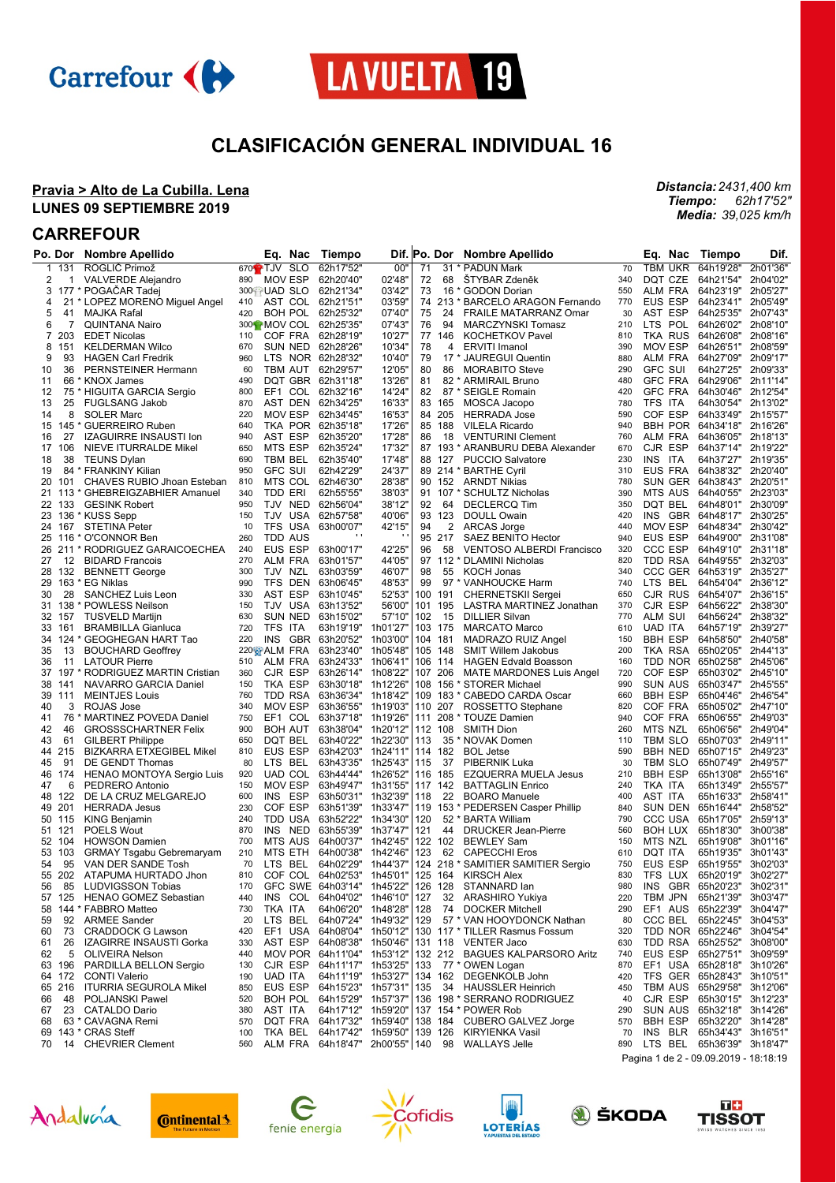



## **CLASIFICACIÓN GENERAL INDIVIDUAL 16**

### **Pravia > Alto de La Cubilla. Lena LUNES 09 SEPTIEMBRE 2019**

## **CARREFOUR**

|    | Po. Dor  | <b>Nombre Apellido</b>                                     |            | Eq. Nac                        | Tiempo                |                                                  |     | Dif. Po. Dor       | <b>Nombre Apellido</b>                                         |            | Eq. Nac                      | Tiempo                 | Dif.                 |
|----|----------|------------------------------------------------------------|------------|--------------------------------|-----------------------|--------------------------------------------------|-----|--------------------|----------------------------------------------------------------|------------|------------------------------|------------------------|----------------------|
| 1  | 131      | ROGLIĆ Primož                                              |            | $670 \oplus TJV$<br><b>SLO</b> | 62h17'52"             | 00"                                              | 71  |                    | 31 * PADUN Mark                                                | 70         | <b>TBM UKR</b>               | 64h19'28"              | 2h01'36"             |
| 2  | 1        | VALVERDE Alejandro                                         | 890        | MOV ESP                        | 62h20'40"             | 02'48"                                           | 72  | 68                 | ŠTYBAR Zdeněk                                                  | 340        | DQT CZE                      | 64h21'54"              | 2h04'02"             |
| 3  |          | 177 * POGAČAR Tadej                                        |            | 300 UAD SLO                    | 62h21'34"             | 03'42"                                           | 73  |                    | 16 * GODON Dorian                                              | 550        | <b>ALM FRA</b>               | 64h23'19"              | 2h05'27"             |
| 4  |          | 21 * LOPEZ MORENO Miguel Angel                             | 410        |                                | AST COL 62h21'51"     | 03'59'                                           |     |                    | 74 213 * BARCELO ARAGON Fernando                               | 770        | EUS ESP                      | 64h23'41"              | 2h05'49"             |
| 5  | 41       | <b>MAJKA Rafal</b>                                         | 420        |                                | BOH POL 62h25'32"     | 07'40'                                           | 75  | 24                 | <b>FRAILE MATARRANZ Omar</b>                                   | 30         | AST ESP                      | 64h25'35"              | 2h07'43"             |
| 6  | 7        | <b>QUINTANA Nairo</b>                                      |            |                                | 300 MOV COL 62h25'35" | 07'43'                                           | 76  | 94                 | <b>MARCZYNSKI Tomasz</b>                                       | 210        | LTS POL                      | 64h26'02"              | 2h08'10'             |
| 7  | 203      | <b>EDET Nicolas</b>                                        | 110        |                                | COF FRA 62h28'19"     | 10'27'                                           |     | 77 146             | <b>KOCHETKOV Pavel</b>                                         | 810        | TKA RUS                      | 64h26'08"              | 2h08'16'             |
| 8  | 151      | <b>KELDERMAN Wilco</b>                                     | 670        |                                | SUN NED 62h28'26"     | 10'34'                                           | 78  | 4                  | <b>ERVITI Imanol</b>                                           | 390        | <b>MOV ESP</b>               | 64h26'51"              | 2h08'59'             |
| 9  | 93       | <b>HAGEN Carl Fredrik</b>                                  | 960        |                                | LTS NOR 62h28'32"     | 10'40'                                           | 79  |                    | 17 * JAUREGUI Quentin                                          | 880        | <b>ALM FRA</b>               | 64h27'09"              | 2h09'17"             |
| 10 | 36       | PERNSTEINER Hermann                                        | 60         |                                | TBM AUT 62h29'57"     | 12'05"                                           | 80  | 86                 | <b>MORABITO Steve</b>                                          | 290        | <b>GFC SUI</b>               | 64h27'25"              | 2h09'33"             |
| 11 |          | 66 * KNOX James                                            | 490        |                                | DQT GBR 62h31'18"     | 13'26'                                           | 81  |                    | 82 * ARMIRAIL Bruno                                            | 480        | <b>GFC FRA</b>               | 64h29'06"              | 2h11'14'             |
| 12 |          | 75 * HIGUITA GARCIA Sergio                                 | 800        | EF1                            | COL 62h32'16"         | 14'24'                                           | 82  |                    | 87 * SEIGLE Romain                                             | 420        | <b>GFC FRA</b>               | 64h30'46"              | 2h12'54"             |
| 13 | 25       | <b>FUGLSANG Jakob</b>                                      | 870        |                                | AST DEN 62h34'25"     | 16'33"                                           |     | 83 165             | MOSCA Jacopo                                                   | 780        | TFS ITA                      | 64h30'54"              | 2h13'02"             |
| 14 | 8        | <b>SOLER Marc</b>                                          | 220        | MOV ESP                        | 62h34'45"             | 16'53'                                           |     | 84 205             | <b>HERRADA Jose</b>                                            | 590        | COF ESP                      | 64h33'49"              | 2h15'57"             |
| 15 | 145      | * GUERREIRO Ruben                                          | 640        |                                | TKA POR 62h35'18"     | 17'26'                                           |     | 85 188             | <b>VILELA Ricardo</b>                                          | 940        | <b>BBH POR</b>               | 64h34'18"              | 2h16'26'             |
| 16 | 27       | <b>IZAGUIRRE INSAUSTI Ion</b>                              | 940        | AST ESP                        | 62h35'20"             | 17'28'                                           | 86  | 18                 | <b>VENTURINI Clement</b>                                       | 760        | ALM FRA                      | 64h36'05"              | 2h18'13"             |
| 17 | 106      | NIEVE ITURRALDE Mikel                                      | 650        | MTS ESP                        | 62h35'24"             | 17'32'                                           |     |                    | 87 193 * ARANBURU DEBA Alexander                               | 670        | CJR ESP                      | 64h37'14"              | 2h19'22"             |
| 18 | 38       | <b>TEUNS Dylan</b>                                         | 690        | TBM BEL                        | 62h35'40"             | 17'48'                                           |     | 88 127             | <b>PUCCIO Salvatore</b>                                        | 230        | <b>INS</b><br>ITA            | 64h37'27"              | 2h19'35'             |
| 19 |          | 84 * FRANKINY Kilian                                       | 950        | <b>GFC SUI</b>                 | 62h42'29"             | 24'37"                                           |     |                    | 89 214 * BARTHE Cyril                                          | 310        | EUS FRA                      | 64h38'32"              | 2h20'40'             |
| 20 | 101      | CHAVES RUBIO Jhoan Esteban                                 | 810        | MTS COL                        | 62h46'30"             | 28'38'                                           |     | 90 152             | ARNDT Nikias                                                   | 780        | SUN GER                      | 64h38'43"              | 2h20'51"             |
|    | 21 113   | * GHEBREIGZABHIER Amanuel                                  | 340        | TDD ERI                        | 62h55'55"             | 38'03"                                           |     |                    | 91 107 * SCHULTZ Nicholas                                      | 390        | <b>MTS AUS</b>               | 64h40'55"              | 2h23'03'             |
|    | 22 133   | <b>GESINK Robert</b>                                       | 950        |                                | TJV NED 62h56'04"     | 38'12"                                           | 92  | 64                 | <b>DECLERCQ Tim</b>                                            | 350        | DQT BEL                      | 64h48'01" 2h30'09"     |                      |
| 23 |          | 136 * KUSS Sepp                                            | 150        |                                | TJV USA 62h57'58"     | 40'06'                                           |     | 93 123             | <b>DOULL Owain</b>                                             | 420        | INS GBR                      | 64h48'17"              | 2h30'25'             |
|    | 24 167   | <b>STETINA Peter</b>                                       | 10         | TFS USA                        | 63h00'07"             | 42'15"                                           | 94  | 2                  | <b>ARCAS Jorge</b>                                             | 440        | <b>MOV ESP</b>               | 64h48'34"              | 2h30'42"             |
|    |          | 25 116 * O'CONNOR Ben                                      | 260        | <b>TDD AUS</b>                 |                       | $\cdot$                                          |     | 95 217             | <b>SAEZ BENITO Hector</b>                                      | 940        | EUS ESP                      | 64h49'00"              | 2h31'08'             |
|    |          | 26 211 * RODRIGUEZ GARAICOECHEA                            | 240        | EUS ESP                        | 63h00'17"             | 42'25'                                           | 96  | 58                 | <b>VENTOSO ALBERDI Francisco</b>                               | 320        | <b>CCC ESP</b>               | 64h49'10"              | 2h31'18'             |
| 27 | 12       | <b>BIDARD Francois</b>                                     | 270        | ALM FRA                        | 63h01'57"             | 44'05'                                           |     |                    | 97 112 * DLAMINI Nicholas                                      | 820        | TDD RSA                      | 64h49'55"              | 2h32'03'             |
|    | 28 132   | <b>BENNETT George</b>                                      | 300        | TJV NZL                        | 63h03'59"             | 46'07"                                           | 98  | 55                 | KOCH Jonas                                                     | 340        | CCC GER                      | 64h53'19"              | 2h35'27"             |
| 29 |          | 163 * EG Niklas                                            | 990        | TFS DEN                        | 63h06'45"             | 48'53'                                           | 99  |                    | 97 * VANHOUCKE Harm                                            | 740        | LTS BEL                      | 64h54'04"              | 2h36'12"             |
| 30 | 28       | SANCHEZ Luis Leon                                          | 330        | AST ESP                        | 63h10'45"             | 52'53"                                           |     | 100 191            | <b>CHERNETSKII Sergei</b>                                      | 650        | CJR RUS                      | 64h54'07"              | 2h36'15'             |
|    |          | 31 138 * POWLESS Neilson                                   | 150        | TJV USA                        | 63h13'52"             | 56'00"                                           |     | 101 195            | LASTRA MARTINEZ Jonathan                                       | 370        | CJR ESP                      | 64h56'22"              | 2h38'30"             |
|    | 32 157   | <b>TUSVELD Martijn</b>                                     | 630        | <b>SUN NED</b>                 | 63h15'02"             | 57'10"                                           | 102 | -15                | <b>DILLIER Silvan</b>                                          | 770        | ALM SUI                      | 64h56'24"              | 2h38'32"             |
| 33 | 161      | <b>BRAMBILLA Gianluca</b>                                  | 720        | <b>TFS</b><br>ITA              | 63h19'19"             | 1h01'27'                                         |     | 103 175            | <b>MARCATO Marco</b>                                           | 610        | <b>UAD ITA</b>               | 64h57'19"              | 2h39'27"             |
|    |          | 34 124 * GEOGHEGAN HART Tao                                | 220        | INS                            | GBR 63h20'52"         | 1h03'00"                                         |     | 104 181            | MADRAZO RUIZ Angel                                             | 150        | <b>BBH ESP</b>               | 64h58'50"              | 2h40'58"             |
| 35 | 13       | <b>BOUCHARD Geoffrey</b>                                   | 510        | 220% ALM FRA                   | 63h23'40"             | 1h05'48"                                         |     | 105 148            | SMIT Willem Jakobus                                            | 200        | TKA RSA                      | 65h02'05"              | 2h44'13"             |
| 36 | 11       | <b>LATOUR Pierre</b><br>37 197 * RODRIGUEZ MARTIN Cristian | 360        | ALM FRA<br>CJR ESP             | 63h24'33"             | 1h06'41"<br>63h26'14" 1h08'22"                   |     | 106 114<br>107 206 | <b>HAGEN Edvald Boasson</b><br><b>MATE MARDONES Luis Angel</b> | 160<br>720 | TDD NOR<br>COF ESP           | 65h02'58"<br>65h03'02" | 2h45'06'<br>2h45'10" |
| 38 | 141      | NAVARRO GARCIA Daniel                                      | 150        | TKA ESP                        | 63h30'18"             | 1h12'26'                                         |     |                    | 108 156 * STORER Michael                                       | 990        | <b>SUN AUS</b>               | 65h03'47"              | 2h45'55'             |
| 39 | 111      | <b>MEINTJES Louis</b>                                      | 760        | TDD RSA                        |                       | 63h36'34" 1h18'42"                               | 109 |                    | 183 * CABEDO CARDA Oscar                                       | 660        | <b>BBH ESP</b>               | 65h04'46"              | 2h46'54'             |
| 40 | 3        | ROJAS Jose                                                 | 340        | MOV ESP                        | 63h36'55"             | 1h19'03"                                         |     | 110 207            | ROSSETTO Stephane                                              | 820        | COF FRA                      | 65h05'02"              | 2h47'10"             |
| 41 | 76 *     | <b>MARTINEZ POVEDA Daniel</b>                              | 750        | EF1 COL                        | 63h37'18"             | 1h19'26'                                         |     |                    | 111 208 * TOUZE Damien                                         | 940        | COF FRA                      | 65h06'55"              | 2h49'03"             |
| 42 | 46       | <b>GROSSSCHARTNER Felix</b>                                | 900        | <b>BOH AUT</b>                 |                       | 63h38'04" 1h20'12"                               |     | 112 108            | <b>SMITH Dion</b>                                              | 260        | MTS NZL                      | 65h06'56"              | 2h49'04'             |
| 43 | 61       | <b>GILBERT Philippe</b>                                    | 650        | DQT BEL                        | 63h40'22"             | 1h22'30"                                         | 113 |                    | 35 * NOVAK Domen                                               | 110        | TBM SLO                      | 65h07'03"              | 2h49'11'             |
| 44 | 215      | <b>BIZKARRA ETXEGIBEL Mikel</b>                            | 810        | EUS ESP                        | 63h42'03"             | 1h24'11"                                         |     | 114 182            | <b>BOL Jetse</b>                                               | 590        | <b>BBH NED</b>               | 65h07'15"              | 2h49'23'             |
| 45 | 91       | DE GENDT Thomas                                            | 80         | LTS BEL                        | 63h43'35"             | 1h25'43"                                         | 115 | 37                 | PIBERNIK Luka                                                  | 30         | TBM SLO                      | 65h07'49"              | 2h49'57'             |
|    | 46 174   | HENAO MONTOYA Sergio Luis                                  | 920        | UAD COL                        |                       | 63h44'44" 1h26'52"                               |     | 116 185            | <b>EZQUERRA MUELA Jesus</b>                                    | 210        | <b>BBH ESP</b>               | 65h13'08"              | 2h55'16'             |
| 47 | 6        | PEDRERO Antonio                                            | 150        | <b>MOV ESP</b>                 |                       | 63h49'47" 1h31'55'                               |     | 117 142            | <b>BATTAGLIN Enrico</b>                                        | 240        | TKA ITA                      | 65h13'49"              | 2h55'57"             |
|    | 48 122   | DE LA CRUZ MELGAREJO                                       | 600        | INS<br>ESP                     |                       | 63h50'31" 1h32'39"                               | 118 | 22                 | <b>BOARO Manuele</b>                                           | 400        | AST ITA                      | 65h16'33"              | 2h58'41"             |
|    | 49 201   | <b>HERRADA Jesus</b>                                       | 230        | COF ESP                        |                       | 63h51'39" 1h33'47"                               |     |                    | 119 153 * PEDERSEN Casper Phillip                              | 840        | <b>SUN DEN</b>               | 65h16'44"              | 2h58'52"             |
|    | 50 115   | <b>KING Benjamin</b>                                       | 240        | TDD USA                        | 63h52'22"             | 1h34'30"                                         | 120 |                    | 52 * BARTA William                                             | 790        | <b>CCC USA</b>               | 65h17'05"              | 2h59'13"             |
|    | 51 121   | POELS Wout                                                 | 870        | INS<br>NED                     | 63h55'39"             | 1h37'47"                                         | 121 | 44                 | <b>DRUCKER Jean-Pierre</b>                                     | 560        | <b>BOH LUX</b>               | 65h18'30"              | 3h00'38'             |
|    | 52 104   | <b>HOWSON Damien</b>                                       | 700        | MTS AUS                        | 64h00'37"             | 1h42'45"                                         |     | 122 102            | <b>BEWLEY Sam</b>                                              | 150        | <b>MTS NZL</b>               | 65h19'08"              | 3h01'16'             |
| 53 | 103      | GRMAY Tsgabu Gebremaryam                                   | 210        | MTS ETH                        | 64h00'38"             | 1h42'46'                                         | 123 | 62                 | <b>CAPECCHI Eros</b>                                           | 610        | DQT ITA                      | 65h19'35"              | 3h01'43'             |
| 54 | 95       | VAN DER SANDE Tosh                                         | 70         | LTS BEL                        |                       | 64h02'29" 1h44'37"                               |     |                    | 124 218 * SAMITIER SAMITIER Sergio                             | 750        | EUS ESP                      | 65h19'55"              | 3h02'03'             |
|    |          | 55 202 ATAPUMA HURTADO Jhon                                | 810        |                                |                       | COF COL 64h02'53" 1h45'01"                       |     |                    | 125 164 KIRSCH Alex                                            | 830        |                              | TFS LUX 65h20'19"      | 3h02'27"             |
| 56 | 85       | LUDVIGSSON Tobias                                          | 170        |                                |                       | GFC SWE 64h03'14" 1h45'22"                       |     |                    | 126 128 STANNARD lan                                           | 980        | INS GBR 65h20'23"            |                        | 3h02'31'             |
|    | 57 125   | <b>HENAO GOMEZ Sebastian</b>                               | 440        |                                |                       | INS COL 64h04'02" 1h46'10"                       | 127 |                    | 32 ARASHIRO Yukiya                                             | 220        | TBM JPN                      | 65h21'39"              | 3h03'47"             |
| 58 |          | 144 * FABBRO Matteo                                        | 730        | TKA ITA                        |                       | 64h06'20" 1h48'28"<br>64h07'24" 1h49'32"         | 128 |                    | 74 DOCKER Mitchell                                             | 290        | EF1 AUS                      | 65h22'39"              | 3h04'47'<br>3h04'53" |
| 59 | 92<br>73 | <b>ARMEE Sander</b><br><b>CRADDOCK G Lawson</b>            | 20<br>420  | LTS BEL                        |                       |                                                  | 129 |                    | 57 * VAN HOOYDONCK Nathan<br>130 117 * TILLER Rasmus Fossum    | 80<br>320  | CCC BEL<br>TDD NOR 65h22'46" | 65h22'45"              | 3h04'54"             |
| 60 | 26       | IZAGIRRE INSAUSTI Gorka                                    | 330        | AST ESP                        |                       | EF1 USA 64h08'04" 1h50'12"<br>64h08'38" 1h50'46" |     |                    | 131 118 VENTER Jaco                                            | 630        | TDD RSA                      | 65h25'52"              | 3h08'00"             |
| 61 | 5        |                                                            |            |                                |                       | MOV POR 64h11'04" 1h53'12"                       |     |                    | 132 212 BAGUES KALPARSORO Aritz                                |            | EUS ESP                      | 65h27'51"              | 3h09'59"             |
| 62 | 63 196   | OLIVEIRA Nelson<br>PARDILLA BELLON Sergio                  | 440<br>130 | CJR ESP                        |                       | 64h11'17" 1h53'25"                               |     |                    | 133 77 * OWEN Logan                                            | 740<br>870 | EF1 USA                      | 65h28'18" 3h10'26"     |                      |
|    | 64 172   | <b>CONTI Valerio</b>                                       | 190        | <b>UAD ITA</b>                 |                       | 64h11'19" 1h53'27"                               |     |                    | 134 162 DEGENKOLB John                                         | 420        | TFS GER 65h28'43" 3h10'51"   |                        |                      |
|    | 65 216   | <b>ITURRIA SEGUROLA Mikel</b>                              | 850        | EUS ESP                        |                       | 64h15'23" 1h57'31"                               |     |                    | 135 34 HAUSSLER Heinrich                                       | 450        | TBM AUS                      | 65h29'58"              | 3h12'06'             |
| 66 | 48       | POLJANSKI Pawel                                            | 520        |                                |                       | BOH POL 64h15'29" 1h57'37"                       |     |                    | 136 198 * SERRANO RODRIGUEZ                                    | 40         | CJR ESP                      | 65h30'15" 3h12'23"     |                      |
| 67 | 23       | <b>CATALDO Dario</b>                                       | 380        | AST ITA                        |                       | 64h17'12" 1h59'20"                               |     |                    | 137 154 * POWER Rob                                            | 290        | SUN AUS                      | 65h32'18" 3h14'26"     |                      |
| 68 |          | 63 * CAVAGNA Remi                                          | 570        |                                |                       | DQT FRA 64h17'32" 1h59'40"                       |     |                    | 138 184 CUBERO GALVEZ Jorge                                    | 570        | <b>BBH ESP</b>               | 65h32'20"              | 3h14'28'             |
|    |          | 69 143 * CRAS Steff                                        | 100        | TKA BEL                        |                       | 64h17'42" 1h59'50"                               |     |                    | 139 126 KIRYIENKA Vasil                                        | 70         | INS BLR                      | 65h34'43" 3h16'51"     |                      |
| 70 |          | 14 CHEVRIER Clement                                        | 560        |                                |                       |                                                  |     |                    | ALM FRA 64h18'47" 2h00'55" 140 98 WALLAYS Jelle                | 890        | LTS BEL                      | 65h36'39" 3h18'47"     |                      |

Pagina 1 de 2 - 09.09.2019 - 18:18:19















*Distancia: 2431,400 km Tiempo: Media: 62h17'52" 39,025 km/h*